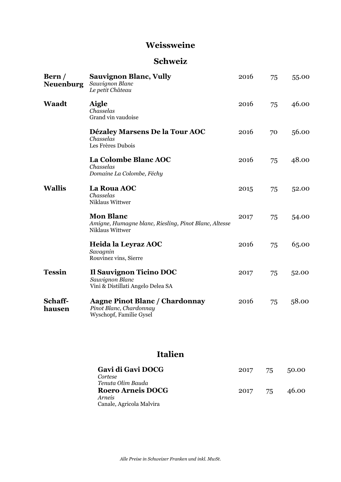#### **Weissweine**

### **Schweiz**

| Bern/<br><b>Neuenburg</b> | <b>Sauvignon Blanc, Vully</b><br>Sauvignon Blanc<br>Le petit Château                         | 2016 | 75 | 55.00 |
|---------------------------|----------------------------------------------------------------------------------------------|------|----|-------|
| <b>Waadt</b>              | <b>Aigle</b><br>Chasselas<br>Grand vin vaudoise                                              | 2016 | 75 | 46.00 |
|                           | Dézaley Marsens De la Tour AOC<br>Chasselas<br>Les Frères Dubois                             | 2016 | 70 | 56.00 |
|                           | La Colombe Blanc AOC<br>Chasselas<br>Domaine La Colombe, Féchy                               | 2016 | 75 | 48.00 |
| <b>Wallis</b>             | La Roua AOC<br>Chasselas<br>Niklaus Wittwer                                                  | 2015 | 75 | 52.00 |
|                           | <b>Mon Blanc</b><br>Amigne, Humagne blanc, Riesling, Pinot Blanc, Altesse<br>Niklaus Wittwer | 2017 | 75 | 54.00 |
|                           | Heida la Leyraz AOC<br>Savagnin<br>Rouvinez vins, Sierre                                     | 2016 | 75 | 65.00 |
| <b>Tessin</b>             | Il Sauvignon Ticino DOC<br>Sauvignon Blanc<br>Vini & Distillati Angelo Delea SA              | 2017 | 75 | 52.00 |
| Schaff-<br>hausen         | <b>Aagne Pinot Blanc / Chardonnay</b><br>Pinot Blanc, Chardonnay<br>Wyschopf, Familie Gysel  | 2016 | 75 | 58.00 |

## **Italien**

| Gavi di Gavi DOCG<br>Cortese                  |         | 2017 75 50.00 |
|-----------------------------------------------|---------|---------------|
| Tenuta Olim Bauda<br><b>Roero Arneis DOCG</b> | 2017 75 | 46.00         |
| <i>Arneis</i><br>Canale, Agricola Malvira     |         |               |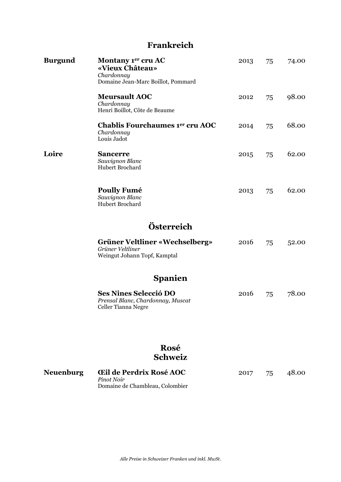# **Frankreich**

| <b>Burgund</b>   | Montany 1er cru AC<br>«Vieux Château»<br>Chardonnay<br>Domaine Jean-Marc Boillot, Pommard | 2013 | 75 | 74.00 |
|------------------|-------------------------------------------------------------------------------------------|------|----|-------|
|                  | <b>Meursault AOC</b><br>Chardonnay<br>Henri Boillot, Côte de Beaume                       | 2012 | 75 | 98.00 |
|                  | Chablis Fourchaumes 1er cru AOC<br>Chardonnay<br>Louis Jadot                              | 2014 | 75 | 68.00 |
| Loire            | <b>Sancerre</b><br>Sauvignon Blanc<br>Hubert Brochard                                     | 2015 | 75 | 62.00 |
|                  | <b>Poully Fumé</b><br>Sauvignon Blanc<br><b>Hubert Brochard</b>                           | 2013 | 75 | 62.00 |
|                  | Österreich                                                                                |      |    |       |
|                  | Grüner Veltliner «Wechselberg»<br>Grüner Veltliner<br>Weingut Johann Topf, Kamptal        | 2016 | 75 | 52.00 |
|                  | <b>Spanien</b>                                                                            |      |    |       |
|                  | <b>Ses Nines Selecció DO</b><br>Prensal Blanc, Chardonnay, Muscat<br>Celler Tianna Negre  | 2016 | 75 | 78.00 |
|                  | Rosé<br><b>Schweiz</b>                                                                    |      |    |       |
| <b>Neuenburg</b> | <b>Eil de Perdrix Rosé AOC</b><br>Pinot Noir                                              | 2017 | 75 | 48.00 |

Domaine de Chambleau, Colombier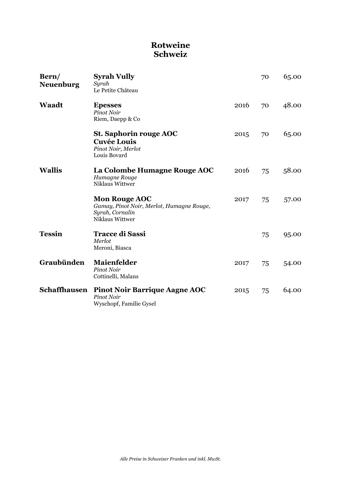### **Rotweine Schweiz**

| Bern/<br><b>Neuenburg</b> | <b>Syrah Vully</b><br>Syrah<br>Le Petite Château                                                        |      | 70 | 65.00 |
|---------------------------|---------------------------------------------------------------------------------------------------------|------|----|-------|
| <b>Waadt</b>              | <b>Epesses</b><br>Pinot Noir<br>Riem, Daepp & Co                                                        | 2016 | 70 | 48.00 |
|                           | <b>St. Saphorin rouge AOC</b><br><b>Cuvée Louis</b><br>Pinot Noir, Merlot<br>Louis Bovard               | 2015 | 70 | 65.00 |
| <b>Wallis</b>             | La Colombe Humagne Rouge AOC<br>Humagne Rouge<br>Niklaus Wittwer                                        | 2016 | 75 | 58.00 |
|                           | <b>Mon Rouge AOC</b><br>Gamay, Pinot Noir, Merlot, Humagne Rouge,<br>Syrah, Cornalin<br>Niklaus Wittwer | 2017 | 75 | 57.00 |
| <b>Tessin</b>             | <b>Tracce di Sassi</b><br>Merlot<br>Meroni, Biasca                                                      |      | 75 | 95.00 |
| Graubünden                | <b>Maienfelder</b><br>Pinot Noir<br>Cottinelli, Malans                                                  | 2017 | 75 | 54.00 |
| <b>Schaffhausen</b>       | <b>Pinot Noir Barrique Aagne AOC</b><br><b>Pinot Noir</b><br>Wyschopf, Familie Gysel                    | 2015 | 75 | 64.00 |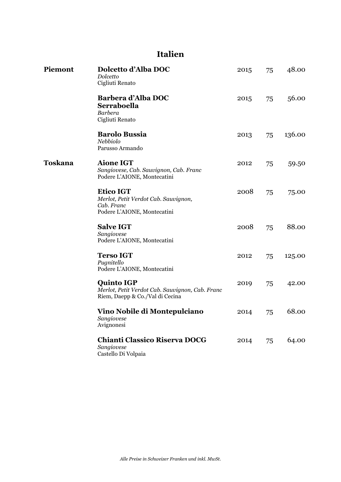## **Italien**

| Piemont        | Dolcetto d'Alba DOC<br>Dolcetto<br>Cigliuti Renato                                                      | 2015 | 75 | 48.00  |
|----------------|---------------------------------------------------------------------------------------------------------|------|----|--------|
|                | Barbera d'Alba DOC<br>Serraboella<br>Barbera<br>Cigliuti Renato                                         | 2015 | 75 | 56.00  |
|                | <b>Barolo Bussia</b><br>Nebbiolo<br>Parusso Armando                                                     | 2013 | 75 | 136.00 |
| <b>Toskana</b> | <b>Aione IGT</b><br>Sangiovese, Cab. Sauvignon, Cab. Franc<br>Podere L'AIONE, Montecatini               | 2012 | 75 | 59.50  |
|                | <b>Etico IGT</b><br>Merlot, Petit Verdot Cab. Sauvignon,<br>Cab. Franc<br>Podere L'AIONE, Montecatini   | 2008 | 75 | 75.00  |
|                | <b>Salve IGT</b><br>Sangiovese<br>Podere L'AIONE, Montecatini                                           | 2008 | 75 | 88.00  |
|                | <b>Terso IGT</b><br>Pugnitello<br>Podere L'AIONE, Montecatini                                           | 2012 | 75 | 125.00 |
|                | <b>Quinto IGP</b><br>Merlot, Petit Verdot Cab. Sauvignon, Cab. Franc<br>Riem, Daepp & Co./Val di Cecina | 2019 | 75 | 42.00  |
|                | Vino Nobile di Montepulciano<br>Sangiovese<br>Avignonesi                                                | 2014 | 75 | 68.00  |
|                | <b>Chianti Classico Riserva DOCG</b><br>Sangiovese<br>Castello Di Volpaia                               | 2014 | 75 | 64.00  |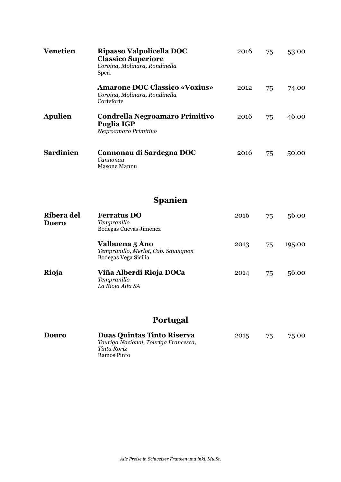| <b>Venetien</b>            | Ripasso Valpolicella DOC<br><b>Classico Superiore</b><br>Corvina, Molinara, Rondinella<br>Speri | 2016 | 75 | 53.00  |
|----------------------------|-------------------------------------------------------------------------------------------------|------|----|--------|
|                            | <b>Amarone DOC Classico «Voxius»</b><br>Corvina, Molinara, Rondinella<br>Corteforte             | 2012 | 75 | 74.00  |
| <b>Apulien</b>             | <b>Condrella Negroamaro Primitivo</b><br><b>Puglia IGP</b><br>Negroamaro Primitivo              | 2016 | 75 | 46.00  |
| <b>Sardinien</b>           | Cannonau di Sardegna DOC<br>Cannonau<br>Masone Mannu                                            | 2016 | 75 | 50.00  |
|                            | <b>Spanien</b>                                                                                  |      |    |        |
| Ribera del<br><b>Duero</b> | <b>Ferratus DO</b><br>Tempranillo<br>Bodegas Cuevas Jimenez                                     | 2016 | 75 | 56.00  |
|                            | Valbuena 5 Ano<br>Tempranillo, Merlot, Cab. Sauvignon<br>Bodegas Vega Sicilia                   | 2013 | 75 | 195.00 |
| Rioja                      | Viña Alberdi Rioja DOCa<br>Tempranillo<br>La Rioja Alta SA                                      | 2014 | 75 | 56.00  |
|                            | <b>Portugal</b>                                                                                 |      |    |        |

| Douro | <b>Duas Quintas Tinto Riserva</b>    | 2015 | 75 | 75.00 |
|-------|--------------------------------------|------|----|-------|
|       | Touriga Nacional, Touriga Francesca, |      |    |       |
|       | Tinta Roriz                          |      |    |       |
|       | Ramos Pinto                          |      |    |       |